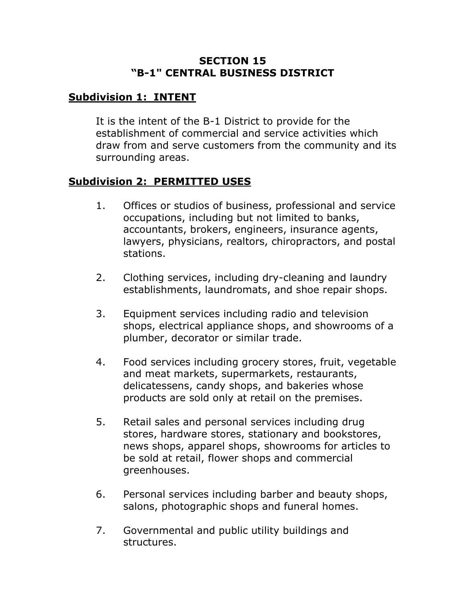#### **SECTION 15 "B-1" CENTRAL BUSINESS DISTRICT**

# **Subdivision 1: INTENT**

It is the intent of the B-1 District to provide for the establishment of commercial and service activities which draw from and serve customers from the community and its surrounding areas.

# **Subdivision 2: PERMITTED USES**

- 1. Offices or studios of business, professional and service occupations, including but not limited to banks, accountants, brokers, engineers, insurance agents, lawyers, physicians, realtors, chiropractors, and postal stations.
- 2. Clothing services, including dry-cleaning and laundry establishments, laundromats, and shoe repair shops.
- 3. Equipment services including radio and television shops, electrical appliance shops, and showrooms of a plumber, decorator or similar trade.
- 4. Food services including grocery stores, fruit, vegetable and meat markets, supermarkets, restaurants, delicatessens, candy shops, and bakeries whose products are sold only at retail on the premises.
- 5. Retail sales and personal services including drug stores, hardware stores, stationary and bookstores, news shops, apparel shops, showrooms for articles to be sold at retail, flower shops and commercial greenhouses.
- 6. Personal services including barber and beauty shops, salons, photographic shops and funeral homes.
- 7. Governmental and public utility buildings and structures.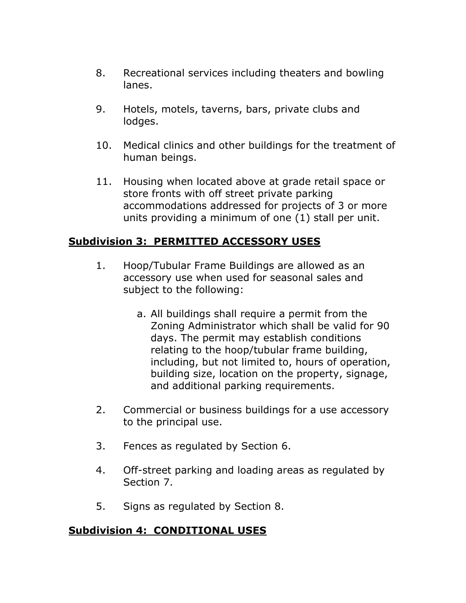- 8. Recreational services including theaters and bowling lanes.
- 9. Hotels, motels, taverns, bars, private clubs and lodges.
- 10. Medical clinics and other buildings for the treatment of human beings.
- 11. Housing when located above at grade retail space or store fronts with off street private parking accommodations addressed for projects of 3 or more units providing a minimum of one (1) stall per unit.

# **Subdivision 3: PERMITTED ACCESSORY USES**

- 1. Hoop/Tubular Frame Buildings are allowed as an accessory use when used for seasonal sales and subject to the following:
	- a. All buildings shall require a permit from the Zoning Administrator which shall be valid for 90 days. The permit may establish conditions relating to the hoop/tubular frame building, including, but not limited to, hours of operation, building size, location on the property, signage, and additional parking requirements.
- 2. Commercial or business buildings for a use accessory to the principal use.
- 3. Fences as regulated by Section 6.
- 4. Off-street parking and loading areas as regulated by Section 7.
- 5. Signs as regulated by Section 8.

## **Subdivision 4: CONDITIONAL USES**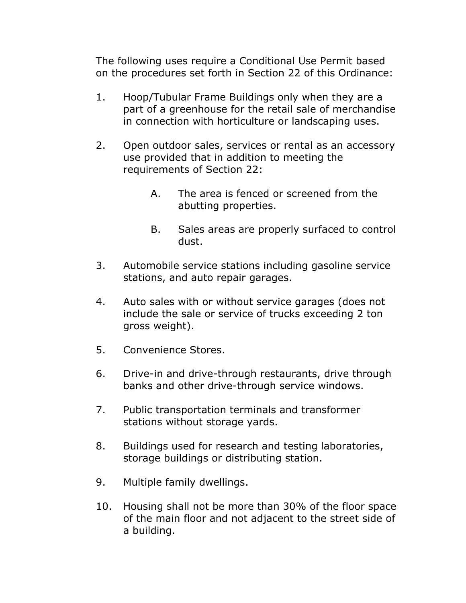The following uses require a Conditional Use Permit based on the procedures set forth in Section 22 of this Ordinance:

- 1. Hoop/Tubular Frame Buildings only when they are a part of a greenhouse for the retail sale of merchandise in connection with horticulture or landscaping uses.
- 2. Open outdoor sales, services or rental as an accessory use provided that in addition to meeting the requirements of Section 22:
	- A. The area is fenced or screened from the abutting properties.
	- B. Sales areas are properly surfaced to control dust.
- 3. Automobile service stations including gasoline service stations, and auto repair garages.
- 4. Auto sales with or without service garages (does not include the sale or service of trucks exceeding 2 ton gross weight).
- 5. Convenience Stores.
- 6. Drive-in and drive-through restaurants, drive through banks and other drive-through service windows.
- 7. Public transportation terminals and transformer stations without storage yards.
- 8. Buildings used for research and testing laboratories, storage buildings or distributing station.
- 9. Multiple family dwellings.
- 10. Housing shall not be more than 30% of the floor space of the main floor and not adjacent to the street side of a building.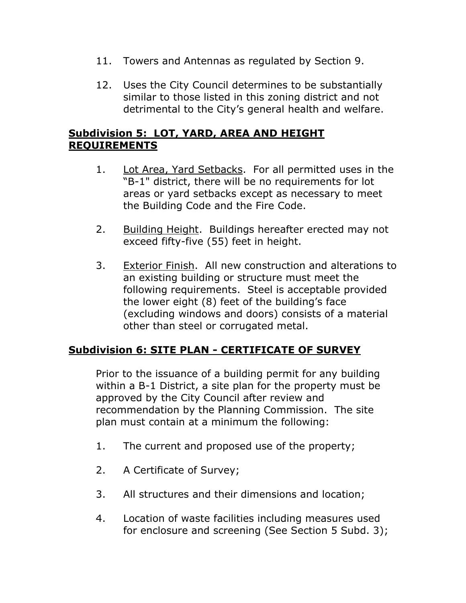- 11. Towers and Antennas as regulated by Section 9.
- 12. Uses the City Council determines to be substantially similar to those listed in this zoning district and not detrimental to the City's general health and welfare.

# **Subdivision 5: LOT, YARD, AREA AND HEIGHT REQUIREMENTS**

- 1. Lot Area, Yard Setbacks. For all permitted uses in the "B-1" district, there will be no requirements for lot areas or yard setbacks except as necessary to meet the Building Code and the Fire Code.
- 2. Building Height. Buildings hereafter erected may not exceed fifty-five (55) feet in height.
- 3. Exterior Finish. All new construction and alterations to an existing building or structure must meet the following requirements. Steel is acceptable provided the lower eight (8) feet of the building's face (excluding windows and doors) consists of a material other than steel or corrugated metal.

## **Subdivision 6: SITE PLAN - CERTIFICATE OF SURVEY**

Prior to the issuance of a building permit for any building within a B-1 District, a site plan for the property must be approved by the City Council after review and recommendation by the Planning Commission. The site plan must contain at a minimum the following:

- 1. The current and proposed use of the property;
- 2. A Certificate of Survey;
- 3. All structures and their dimensions and location;
- 4. Location of waste facilities including measures used for enclosure and screening (See Section 5 Subd. 3);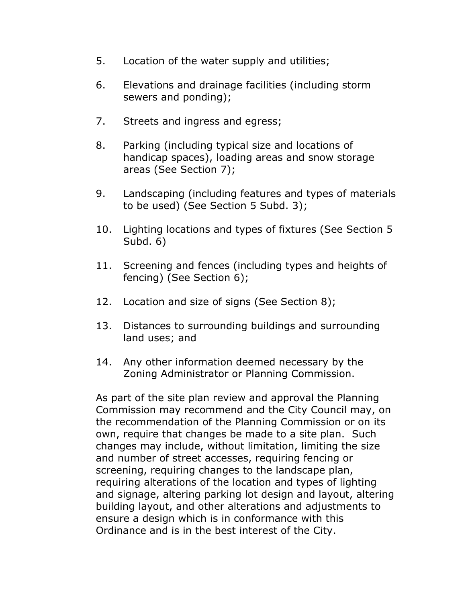- 5. Location of the water supply and utilities;
- 6. Elevations and drainage facilities (including storm sewers and ponding);
- 7. Streets and ingress and egress;
- 8. Parking (including typical size and locations of handicap spaces), loading areas and snow storage areas (See Section 7);
- 9. Landscaping (including features and types of materials to be used) (See Section 5 Subd. 3);
- 10. Lighting locations and types of fixtures (See Section 5 Subd. 6)
- 11. Screening and fences (including types and heights of fencing) (See Section 6);
- 12. Location and size of signs (See Section 8);
- 13. Distances to surrounding buildings and surrounding land uses; and
- 14. Any other information deemed necessary by the Zoning Administrator or Planning Commission.

As part of the site plan review and approval the Planning Commission may recommend and the City Council may, on the recommendation of the Planning Commission or on its own, require that changes be made to a site plan. Such changes may include, without limitation, limiting the size and number of street accesses, requiring fencing or screening, requiring changes to the landscape plan, requiring alterations of the location and types of lighting and signage, altering parking lot design and layout, altering building layout, and other alterations and adjustments to ensure a design which is in conformance with this Ordinance and is in the best interest of the City.